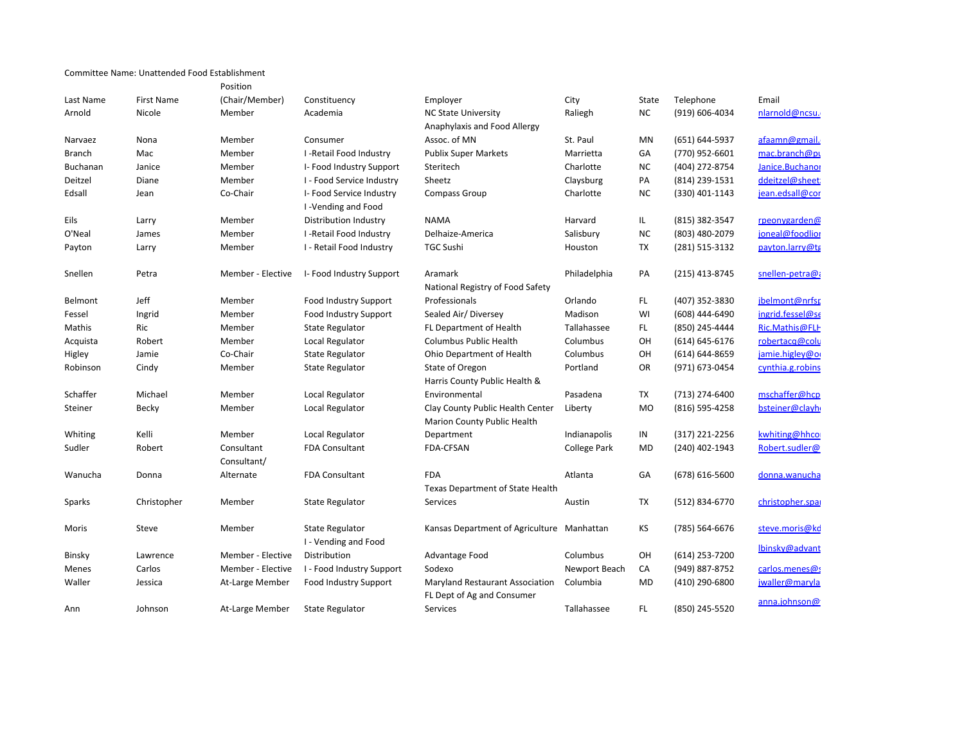|               |             | Position          |                              |                                                                 |               |           |                    |                  |
|---------------|-------------|-------------------|------------------------------|-----------------------------------------------------------------|---------------|-----------|--------------------|------------------|
| Last Name     | First Name  | (Chair/Member)    | Constituency                 | Employer                                                        | City          | State     | Telephone          | Email            |
| Arnold        | Nicole      | Member            | Academia                     | <b>NC State University</b>                                      | Raliegh       | <b>NC</b> | (919) 606-4034     | nlarnold@ncsu.   |
|               |             |                   |                              | Anaphylaxis and Food Allergy                                    |               |           |                    |                  |
| Narvaez       | Nona        | Member            | Consumer                     | Assoc. of MN                                                    | St. Paul      | MN        | (651) 644-5937     | afaamn@gmail.    |
| <b>Branch</b> | Mac         | Member            | I-Retail Food Industry       | <b>Publix Super Markets</b>                                     | Marrietta     | GA        | (770) 952-6601     | mac.branch@pt    |
| Buchanan      | Janice      | Member            | I- Food Industry Support     | Steritech                                                       | Charlotte     | <b>NC</b> | (404) 272-8754     | Janice.Buchanor  |
| Deitzel       | Diane       | Member            | I - Food Service Industry    | Sheetz                                                          | Claysburg     | PA        | (814) 239-1531     | ddeitzel@sheet:  |
| Edsall        | Jean        | Co-Chair          | I- Food Service Industry     | <b>Compass Group</b>                                            | Charlotte     | <b>NC</b> | (330) 401-1143     | jean.edsall@cor  |
|               |             |                   | I-Vending and Food           |                                                                 |               |           |                    |                  |
| Eils          | Larry       | Member            | Distribution Industry        | <b>NAMA</b>                                                     | Harvard       | IL.       | (815) 382-3547     | rpeonygarden@    |
| O'Neal        | James       | Member            | I-Retail Food Industry       | Delhaize-America                                                | Salisbury     | <b>NC</b> | (803) 480-2079     | joneal@foodlior  |
| Payton        | Larry       | Member            | I - Retail Food Industry     | <b>TGC Sushi</b>                                                | Houston       | TX        | (281) 515-3132     | payton.larry@tg  |
|               |             |                   |                              |                                                                 |               |           |                    |                  |
| Snellen       | Petra       | Member - Elective | I- Food Industry Support     | Aramark                                                         | Philadelphia  | PA        | (215) 413-8745     | snellen-petra@a  |
|               |             |                   |                              | National Registry of Food Safety                                |               |           |                    |                  |
| Belmont       | Jeff        | Member            | Food Industry Support        | Professionals                                                   | Orlando       | FL.       | (407) 352-3830     | jbelmont@nrfsp   |
| Fessel        | Ingrid      | Member            | <b>Food Industry Support</b> | Sealed Air/ Diversey                                            | Madison       | WI        | (608) 444-6490     | ingrid.fessel@se |
| Mathis        | Ric         | Member            | <b>State Regulator</b>       | FL Department of Health                                         | Tallahassee   | FL.       | (850) 245-4444     | Ric.Mathis@FLH   |
| Acquista      | Robert      | Member            | Local Regulator              | Columbus Public Health                                          | Columbus      | OH        | $(614) 645 - 6176$ | robertacq@colu   |
| Higley        | Jamie       | Co-Chair          | <b>State Regulator</b>       | Ohio Department of Health                                       | Columbus      | OH        | $(614) 644 - 8659$ | jamie.higley@or  |
| Robinson      | Cindy       | Member            | <b>State Regulator</b>       | State of Oregon                                                 | Portland      | OR        | (971) 673-0454     | cynthia.g.robins |
|               |             |                   |                              | Harris County Public Health &                                   |               |           |                    |                  |
| Schaffer      | Michael     | Member            | Local Regulator              | Environmental                                                   | Pasadena      | TX        | (713) 274-6400     | mschaffer@hcp    |
| Steiner       | Becky       | Member            | Local Regulator              | Clay County Public Health Center<br>Marion County Public Health | Liberty       | <b>MO</b> | (816) 595-4258     | bsteiner@clayh   |
| Whiting       | Kelli       | Member            | Local Regulator              | Department                                                      | Indianapolis  | IN        | $(317)$ 221-2256   | kwhiting@hhco    |
| Sudler        | Robert      | Consultant        | <b>FDA Consultant</b>        | FDA-CFSAN                                                       | College Park  | MD        | (240) 402-1943     | Robert.sudler@   |
|               |             | Consultant/       |                              |                                                                 |               |           |                    |                  |
| Wanucha       | Donna       | Alternate         | <b>FDA Consultant</b>        | <b>FDA</b>                                                      | Atlanta       | GA        | (678) 616-5600     | donna.wanucha    |
|               |             |                   |                              | Texas Department of State Health                                |               |           |                    |                  |
| Sparks        | Christopher | Member            | State Regulator              | Services                                                        | Austin        | TX        | (512) 834-6770     | christopher.spai |
|               |             |                   |                              |                                                                 |               |           |                    |                  |
| Moris         | Steve       | Member            | <b>State Regulator</b>       | Kansas Department of Agriculture Manhattan                      |               | KS        | (785) 564-6676     | steve.moris@kd   |
|               |             |                   | I - Vending and Food         |                                                                 |               |           |                    | lbinsky@advant   |
| Binsky        | Lawrence    | Member - Elective | Distribution                 | Advantage Food                                                  | Columbus      | OH        | $(614)$ 253-7200   |                  |
| Menes         | Carlos      | Member - Elective | I - Food Industry Support    | Sodexo                                                          | Newport Beach | CA        | (949) 887-8752     | carlos.menes@s   |
| Waller        | Jessica     | At-Large Member   | <b>Food Industry Support</b> | <b>Maryland Restaurant Association</b>                          | Columbia      | MD        | (410) 290-6800     | jwaller@maryla   |
|               |             |                   |                              | FL Dept of Ag and Consumer                                      |               |           |                    | anna.johnson@    |
| Ann           | Johnson     | At-Large Member   | <b>State Regulator</b>       | Services                                                        | Tallahassee   | <b>FL</b> | (850) 245-5520     |                  |

Committee Name: Unattended Food Establishment